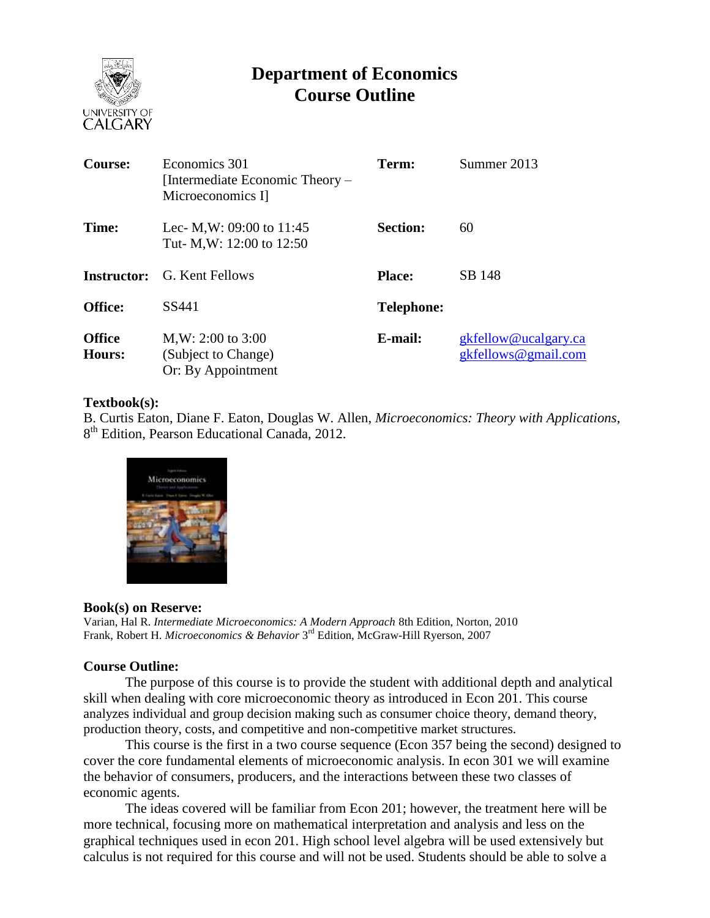

# **Department of Economics Course Outline**

| <b>Course:</b>          | Economics 301<br>[Intermediate Economic Theory –<br>Microeconomics I] | Term:             | Summer 2013                                 |
|-------------------------|-----------------------------------------------------------------------|-------------------|---------------------------------------------|
| Time:                   | Lec- M, W: 09:00 to $11:45$<br>Tut- M, W: 12:00 to 12:50              | <b>Section:</b>   | 60                                          |
| Instructor:             | G. Kent Fellows                                                       | <b>Place:</b>     | SB 148                                      |
| <b>Office:</b>          | SS441                                                                 | <b>Telephone:</b> |                                             |
| <b>Office</b><br>Hours: | $M,W: 2:00$ to 3:00<br>(Subject to Change)<br>Or: By Appointment      | E-mail:           | gkfellow@ucalgary.ca<br>gkfellows@gmail.com |

### **Textbook(s):**

B. Curtis Eaton, Diane F. Eaton, Douglas W. Allen, *Microeconomics: Theory with Applications*, 8<sup>th</sup> Edition, Pearson Educational Canada, 2012.



### **Book(s) on Reserve:**

Varian, Hal R. *Intermediate Microeconomics: A Modern Approach* 8th Edition, Norton, 2010 Frank, Robert H. *Microeconomics & Behavior* 3<sup>rd</sup> Edition, McGraw-Hill Ryerson, 2007

### **Course Outline:**

The purpose of this course is to provide the student with additional depth and analytical skill when dealing with core microeconomic theory as introduced in Econ 201. This course analyzes individual and group decision making such as consumer choice theory, demand theory, production theory, costs, and competitive and non-competitive market structures.

This course is the first in a two course sequence (Econ 357 being the second) designed to cover the core fundamental elements of microeconomic analysis. In econ 301 we will examine the behavior of consumers, producers, and the interactions between these two classes of economic agents.

The ideas covered will be familiar from Econ 201; however, the treatment here will be more technical, focusing more on mathematical interpretation and analysis and less on the graphical techniques used in econ 201. High school level algebra will be used extensively but calculus is not required for this course and will not be used. Students should be able to solve a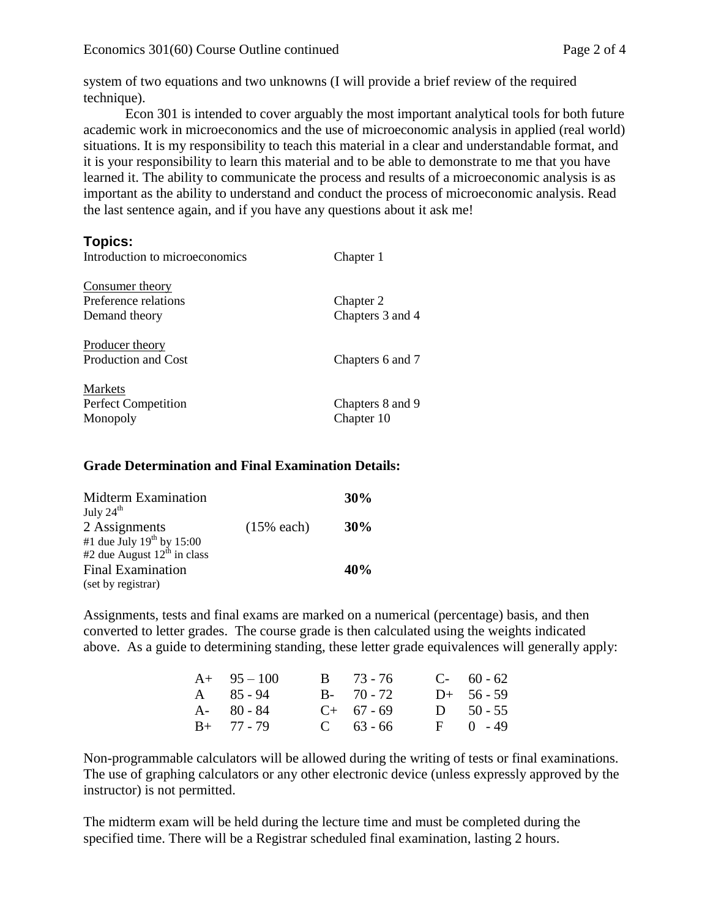system of two equations and two unknowns (I will provide a brief review of the required technique).

Econ 301 is intended to cover arguably the most important analytical tools for both future academic work in microeconomics and the use of microeconomic analysis in applied (real world) situations. It is my responsibility to teach this material in a clear and understandable format, and it is your responsibility to learn this material and to be able to demonstrate to me that you have learned it. The ability to communicate the process and results of a microeconomic analysis is as important as the ability to understand and conduct the process of microeconomic analysis. Read the last sentence again, and if you have any questions about it ask me!

# **Topics:**

| Introduction to microeconomics                                  | Chapter 1                      |  |  |
|-----------------------------------------------------------------|--------------------------------|--|--|
| <b>Consumer theory</b><br>Preference relations<br>Demand theory | Chapter 2<br>Chapters 3 and 4  |  |  |
| Producer theory<br>Production and Cost                          | Chapters 6 and 7               |  |  |
| Markets<br><b>Perfect Competition</b><br>Monopoly               | Chapters 8 and 9<br>Chapter 10 |  |  |

## **Grade Determination and Final Examination Details:**

| Midterm Examination<br>July 24 <sup>th</sup>                       |               |        |  |  |
|--------------------------------------------------------------------|---------------|--------|--|--|
|                                                                    |               |        |  |  |
| 2 Assignments                                                      | $(15\%$ each) | $30\%$ |  |  |
| #1 due July $19^{th}$ by 15:00<br>#2 due August $12^{th}$ in class |               |        |  |  |
|                                                                    |               |        |  |  |
| <b>Final Examination</b>                                           |               | 40%    |  |  |
| (set by registrar)                                                 |               |        |  |  |

Assignments, tests and final exams are marked on a numerical (percentage) basis, and then converted to letter grades. The course grade is then calculated using the weights indicated above. As a guide to determining standing, these letter grade equivalences will generally apply:

| $A+ 95-100$       | $B = 73 - 76$ | $C-60-62$    |
|-------------------|---------------|--------------|
| $A \quad 85 - 94$ | $B - 70 - 72$ | $D+ 56 - 59$ |
| $A - 80 - 84$     | $C+ 67 - 69$  | D $50 - 55$  |
| $B+ 77 - 79$      | $C = 63 - 66$ | $F = 0 - 49$ |

Non-programmable calculators will be allowed during the writing of tests or final examinations. The use of graphing calculators or any other electronic device (unless expressly approved by the instructor) is not permitted.

The midterm exam will be held during the lecture time and must be completed during the specified time. There will be a Registrar scheduled final examination, lasting 2 hours.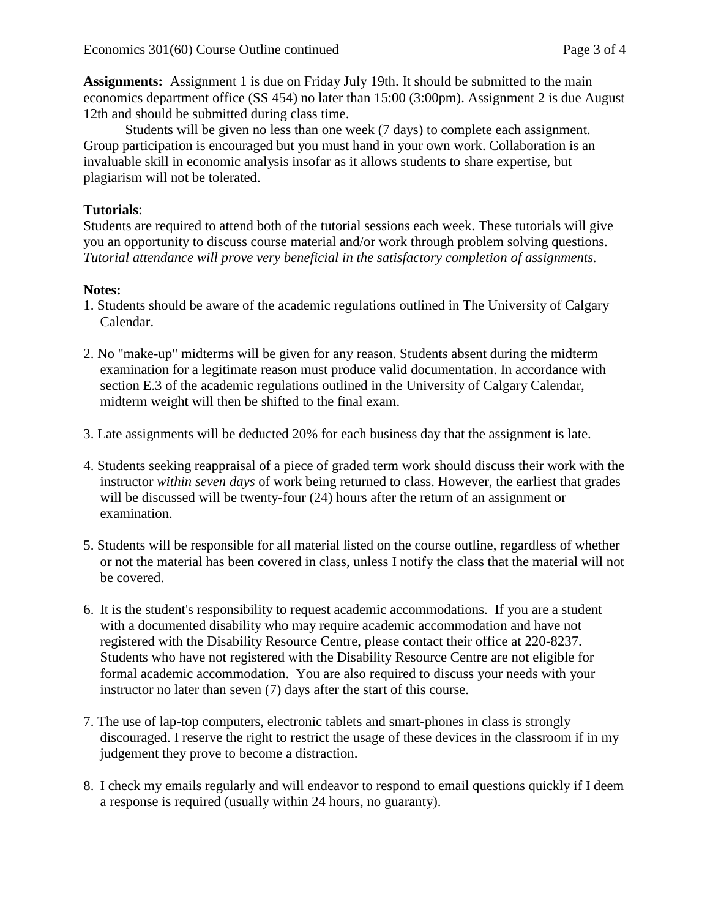**Assignments:** Assignment 1 is due on Friday July 19th. It should be submitted to the main economics department office (SS 454) no later than 15:00 (3:00pm). Assignment 2 is due August 12th and should be submitted during class time.

Students will be given no less than one week (7 days) to complete each assignment. Group participation is encouraged but you must hand in your own work. Collaboration is an invaluable skill in economic analysis insofar as it allows students to share expertise, but plagiarism will not be tolerated.

## **Tutorials**:

Students are required to attend both of the tutorial sessions each week. These tutorials will give you an opportunity to discuss course material and/or work through problem solving questions. *Tutorial attendance will prove very beneficial in the satisfactory completion of assignments.*

### **Notes:**

- 1. Students should be aware of the academic regulations outlined in The University of Calgary Calendar.
- 2. No "make-up" midterms will be given for any reason. Students absent during the midterm examination for a legitimate reason must produce valid documentation. In accordance with section E.3 of the academic regulations outlined in the University of Calgary Calendar, midterm weight will then be shifted to the final exam.
- 3. Late assignments will be deducted 20% for each business day that the assignment is late.
- 4. Students seeking reappraisal of a piece of graded term work should discuss their work with the instructor *within seven days* of work being returned to class. However, the earliest that grades will be discussed will be twenty-four (24) hours after the return of an assignment or examination.
- 5. Students will be responsible for all material listed on the course outline, regardless of whether or not the material has been covered in class, unless I notify the class that the material will not be covered.
- 6. It is the student's responsibility to request academic accommodations. If you are a student with a documented disability who may require academic accommodation and have not registered with the Disability Resource Centre, please contact their office at 220-8237. Students who have not registered with the Disability Resource Centre are not eligible for formal academic accommodation. You are also required to discuss your needs with your instructor no later than seven (7) days after the start of this course.
- 7. The use of lap-top computers, electronic tablets and smart-phones in class is strongly discouraged. I reserve the right to restrict the usage of these devices in the classroom if in my judgement they prove to become a distraction.
- 8. I check my emails regularly and will endeavor to respond to email questions quickly if I deem a response is required (usually within 24 hours, no guaranty).